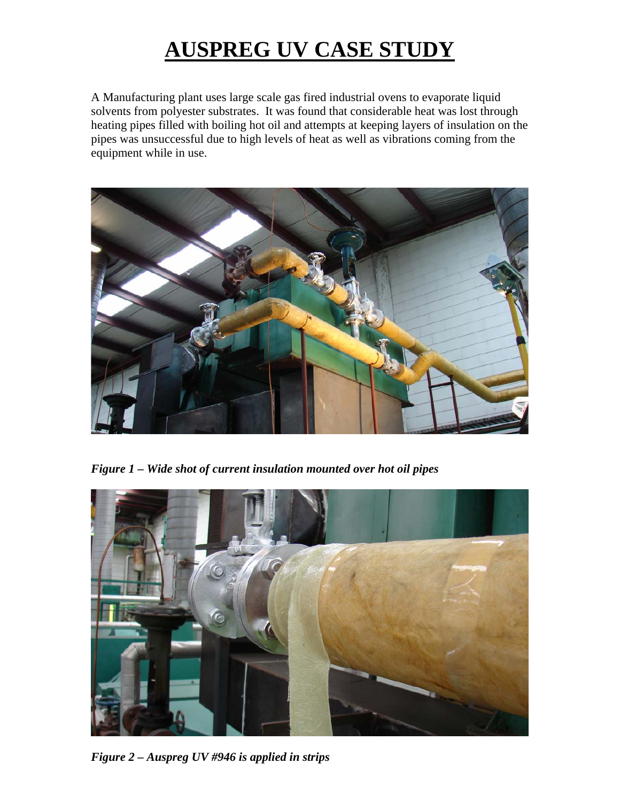## **AUSPREG UV CASE STUDY**

A Manufacturing plant uses large scale gas fired industrial ovens to evaporate liquid solvents from polyester substrates. It was found that considerable heat was lost through heating pipes filled with boiling hot oil and attempts at keeping layers of insulation on the pipes was unsuccessful due to high levels of heat as well as vibrations coming from the equipment while in use.



*Figure 1 – Wide shot of current insulation mounted over hot oil pipes* 



*Figure 2 – Auspreg UV #946 is applied in strips*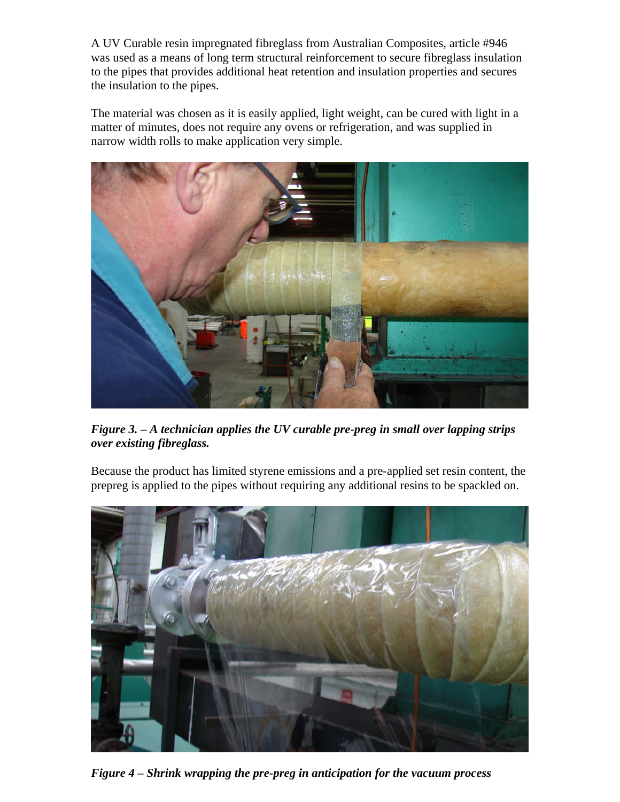A UV Curable resin impregnated fibreglass from Australian Composites, article #946 was used as a means of long term structural reinforcement to secure fibreglass insulation to the pipes that provides additional heat retention and insulation properties and secures the insulation to the pipes.

The material was chosen as it is easily applied, light weight, can be cured with light in a matter of minutes, does not require any ovens or refrigeration, and was supplied in narrow width rolls to make application very simple.



*Figure 3. – A technician applies the UV curable pre-preg in small over lapping strips over existing fibreglass.* 

Because the product has limited styrene emissions and a pre-applied set resin content, the prepreg is applied to the pipes without requiring any additional resins to be spackled on.



*Figure 4 – Shrink wrapping the pre-preg in anticipation for the vacuum process*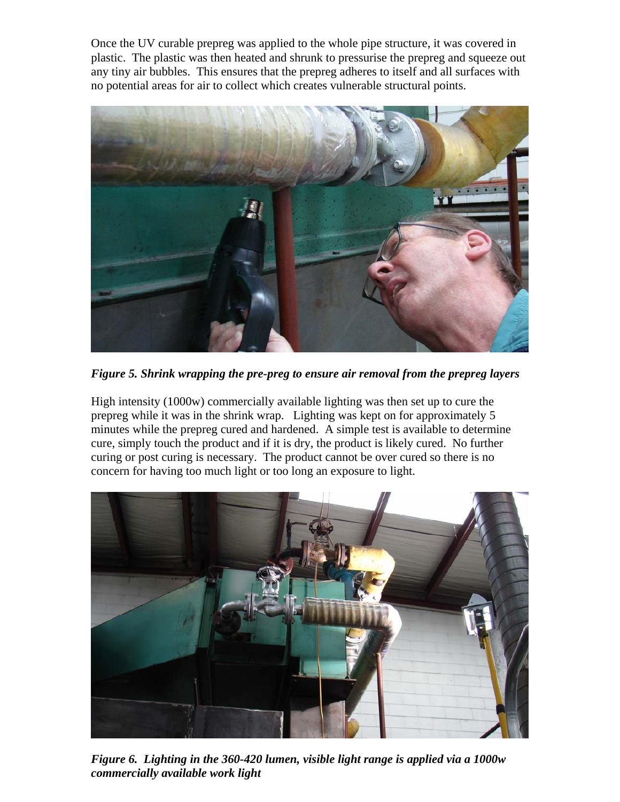Once the UV curable prepreg was applied to the whole pipe structure, it was covered in plastic. The plastic was then heated and shrunk to pressurise the prepreg and squeeze out any tiny air bubbles. This ensures that the prepreg adheres to itself and all surfaces with no potential areas for air to collect which creates vulnerable structural points.



*Figure 5. Shrink wrapping the pre-preg to ensure air removal from the prepreg layers* 

High intensity (1000w) commercially available lighting was then set up to cure the prepreg while it was in the shrink wrap. Lighting was kept on for approximately 5 minutes while the prepreg cured and hardened. A simple test is available to determine cure, simply touch the product and if it is dry, the product is likely cured. No further curing or post curing is necessary. The product cannot be over cured so there is no concern for having too much light or too long an exposure to light.



*Figure 6. Lighting in the 360-420 lumen, visible light range is applied via a 1000w commercially available work light*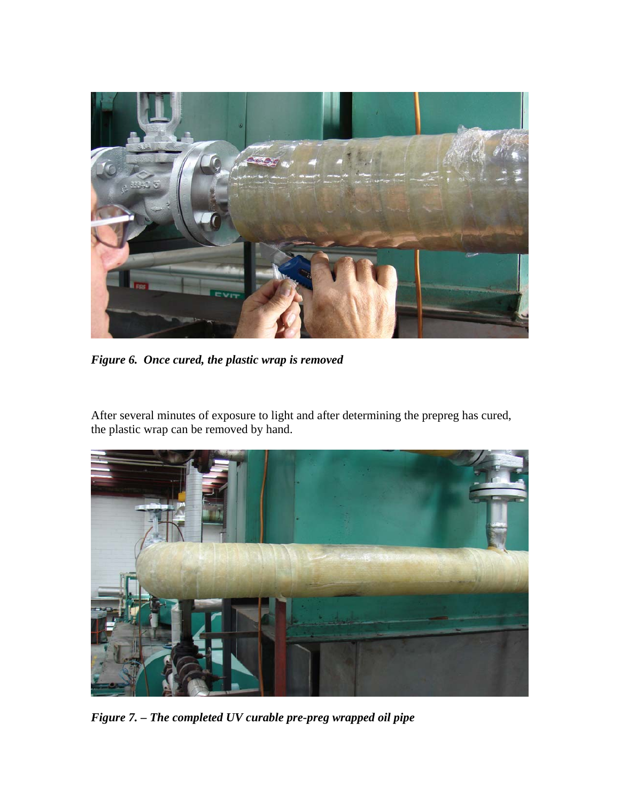

*Figure 6. Once cured, the plastic wrap is removed* 

After several minutes of exposure to light and after determining the prepreg has cured, the plastic wrap can be removed by hand.



*Figure 7. – The completed UV curable pre-preg wrapped oil pipe*